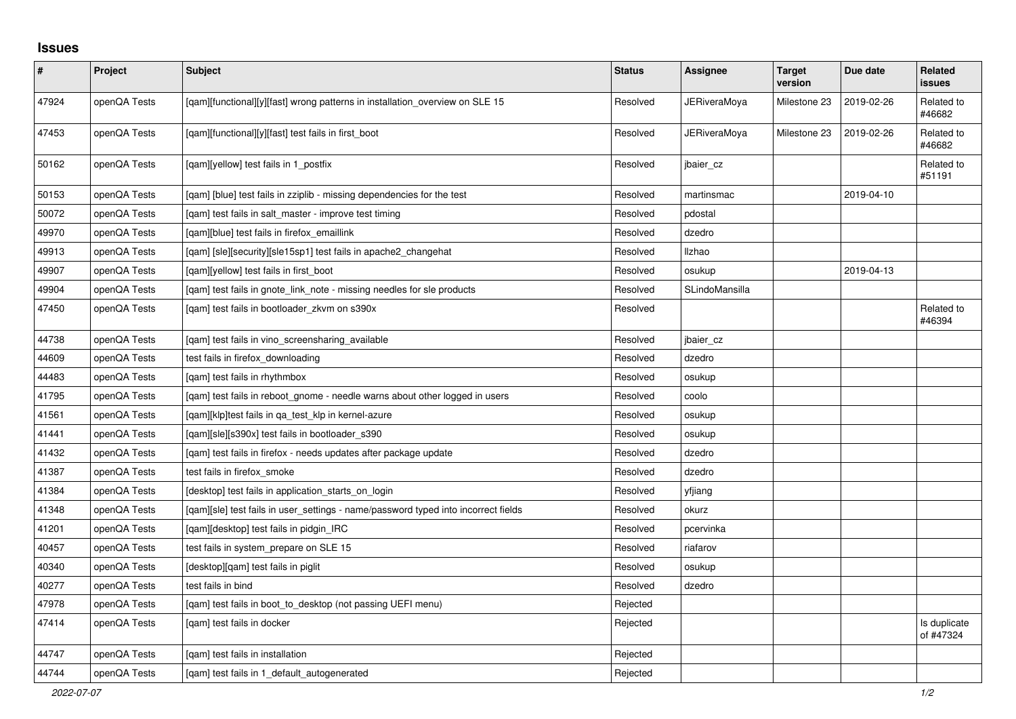## **Issues**

| $\vert$ # | Project      | <b>Subject</b>                                                                     | <b>Status</b> | Assignee            | <b>Target</b><br>version | Due date   | Related<br><b>issues</b>  |
|-----------|--------------|------------------------------------------------------------------------------------|---------------|---------------------|--------------------------|------------|---------------------------|
| 47924     | openQA Tests | [qam][functional][y][fast] wrong patterns in installation_overview on SLE 15       | Resolved      | JERiveraMoya        | Milestone 23             | 2019-02-26 | Related to<br>#46682      |
| 47453     | openQA Tests | [qam][functional][y][fast] test fails in first_boot                                | Resolved      | <b>JERiveraMoya</b> | Milestone 23             | 2019-02-26 | Related to<br>#46682      |
| 50162     | openQA Tests | [gam][yellow] test fails in 1 postfix                                              | Resolved      | jbaier cz           |                          |            | Related to<br>#51191      |
| 50153     | openQA Tests | [qam] [blue] test fails in zziplib - missing dependencies for the test             | Resolved      | martinsmac          |                          | 2019-04-10 |                           |
| 50072     | openQA Tests | [qam] test fails in salt_master - improve test timing                              | Resolved      | pdostal             |                          |            |                           |
| 49970     | openQA Tests | [gam][blue] test fails in firefox emaillink                                        | Resolved      | dzedro              |                          |            |                           |
| 49913     | openQA Tests | [gam] [sle][security][sle15sp1] test fails in apache2 changehat                    | Resolved      | Ilzhao              |                          |            |                           |
| 49907     | openQA Tests | [qam][yellow] test fails in first_boot                                             | Resolved      | osukup              |                          | 2019-04-13 |                           |
| 49904     | openQA Tests | [qam] test fails in gnote_link_note - missing needles for sle products             | Resolved      | SLindoMansilla      |                          |            |                           |
| 47450     | openQA Tests | [qam] test fails in bootloader_zkvm on s390x                                       | Resolved      |                     |                          |            | Related to<br>#46394      |
| 44738     | openQA Tests | [gam] test fails in vino screensharing available                                   | Resolved      | jbaier cz           |                          |            |                           |
| 44609     | openQA Tests | test fails in firefox_downloading                                                  | Resolved      | dzedro              |                          |            |                           |
| 44483     | openQA Tests | [qam] test fails in rhythmbox                                                      | Resolved      | osukup              |                          |            |                           |
| 41795     | openQA Tests | [qam] test fails in reboot_gnome - needle warns about other logged in users        | Resolved      | coolo               |                          |            |                           |
| 41561     | openQA Tests | [gam][klp]test fails in ga test klp in kernel-azure                                | Resolved      | osukup              |                          |            |                           |
| 41441     | openQA Tests | [gam][sle][s390x] test fails in bootloader s390                                    | Resolved      | osukup              |                          |            |                           |
| 41432     | openQA Tests | [qam] test fails in firefox - needs updates after package update                   | Resolved      | dzedro              |                          |            |                           |
| 41387     | openQA Tests | test fails in firefox_smoke                                                        | Resolved      | dzedro              |                          |            |                           |
| 41384     | openQA Tests | [desktop] test fails in application_starts_on_login                                | Resolved      | yfjiang             |                          |            |                           |
| 41348     | openQA Tests | [gam][sle] test fails in user settings - name/password typed into incorrect fields | Resolved      | okurz               |                          |            |                           |
| 41201     | openQA Tests | [gam][desktop] test fails in pidgin IRC                                            | Resolved      | pcervinka           |                          |            |                           |
| 40457     | openQA Tests | test fails in system_prepare on SLE 15                                             | Resolved      | riafarov            |                          |            |                           |
| 40340     | openQA Tests | [desktop][qam] test fails in piglit                                                | Resolved      | osukup              |                          |            |                           |
| 40277     | openQA Tests | test fails in bind                                                                 | Resolved      | dzedro              |                          |            |                           |
| 47978     | openQA Tests | [gam] test fails in boot to desktop (not passing UEFI menu)                        | Rejected      |                     |                          |            |                           |
| 47414     | openQA Tests | [gam] test fails in docker                                                         | Rejected      |                     |                          |            | Is duplicate<br>of #47324 |
| 44747     | openQA Tests | [gam] test fails in installation                                                   | Rejected      |                     |                          |            |                           |
| 44744     | openQA Tests | [qam] test fails in 1_default_autogenerated                                        | Rejected      |                     |                          |            |                           |